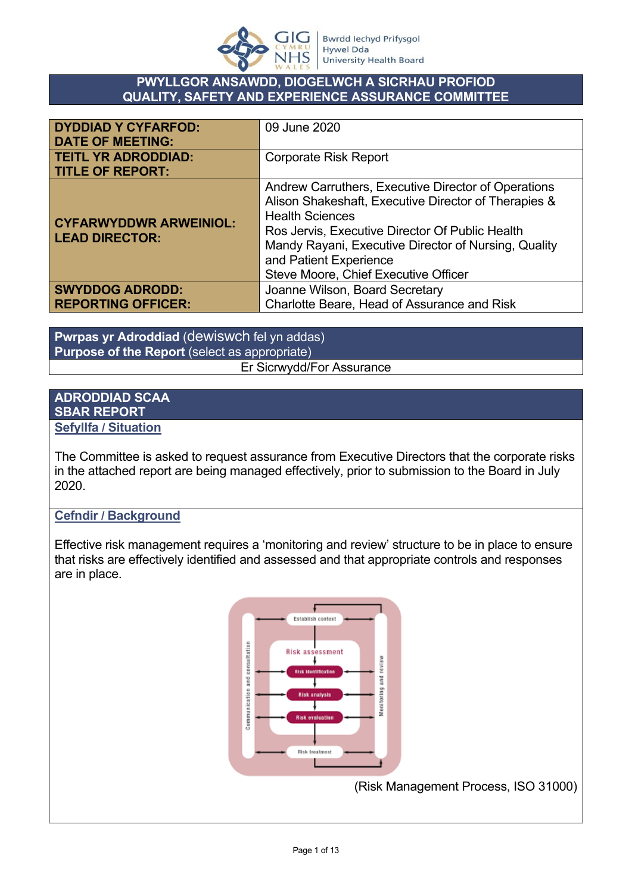

#### **PWYLLGOR ANSAWDD, DIOGELWCH A SICRHAU PROFIOD QUALITY, SAFETY AND EXPERIENCE ASSURANCE COMMITTEE**

| <b>DYDDIAD Y CYFARFOD:</b><br><b>DATE OF MEETING:</b>  | 09 June 2020                                                                                                                                                                                                                                                                                                       |
|--------------------------------------------------------|--------------------------------------------------------------------------------------------------------------------------------------------------------------------------------------------------------------------------------------------------------------------------------------------------------------------|
| <b>TEITL YR ADRODDIAD:</b><br><b>TITLE OF REPORT:</b>  | <b>Corporate Risk Report</b>                                                                                                                                                                                                                                                                                       |
| <b>CYFARWYDDWR ARWEINIOL:</b><br><b>LEAD DIRECTOR:</b> | Andrew Carruthers, Executive Director of Operations<br>Alison Shakeshaft, Executive Director of Therapies &<br><b>Health Sciences</b><br>Ros Jervis, Executive Director Of Public Health<br>Mandy Rayani, Executive Director of Nursing, Quality<br>and Patient Experience<br>Steve Moore, Chief Executive Officer |
| <b>SWYDDOG ADRODD:</b><br><b>REPORTING OFFICER:</b>    | Joanne Wilson, Board Secretary<br>Charlotte Beare, Head of Assurance and Risk                                                                                                                                                                                                                                      |

**Pwrpas yr Adroddiad** (dewiswch fel yn addas) **Purpose of the Report** (select as appropriate)

Er Sicrwydd/For Assurance

#### **ADRODDIAD SCAA SBAR REPORT Sefyllfa / Situation**

The Committee is asked to request assurance from Executive Directors that the corporate risks in the attached report are being managed effectively, prior to submission to the Board in July 2020.

# **Cefndir / Background**

Effective risk management requires a 'monitoring and review' structure to be in place to ensure that risks are effectively identified and assessed and that appropriate controls and responses are in place.



(Risk Management Process, ISO 31000)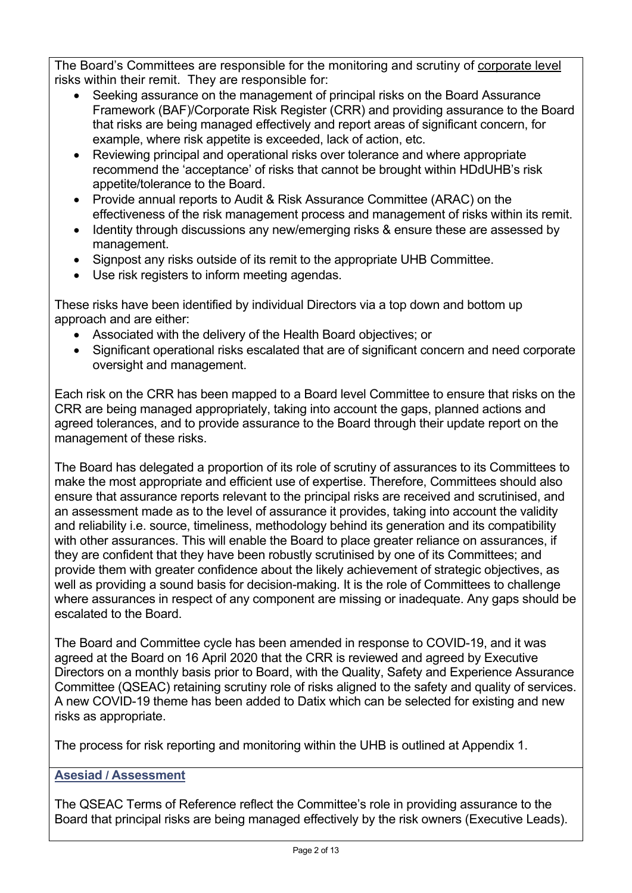The Board's Committees are responsible for the monitoring and scrutiny of corporate level risks within their remit. They are responsible for:

- Seeking assurance on the management of principal risks on the Board Assurance Framework (BAF)/Corporate Risk Register (CRR) and providing assurance to the Board that risks are being managed effectively and report areas of significant concern, for example, where risk appetite is exceeded, lack of action, etc.
- Reviewing principal and operational risks over tolerance and where appropriate recommend the 'acceptance' of risks that cannot be brought within HDdUHB's risk appetite/tolerance to the Board.
- Provide annual reports to Audit & Risk Assurance Committee (ARAC) on the effectiveness of the risk management process and management of risks within its remit.
- Identity through discussions any new/emerging risks & ensure these are assessed by management.
- Signpost any risks outside of its remit to the appropriate UHB Committee.
- Use risk registers to inform meeting agendas.

These risks have been identified by individual Directors via a top down and bottom up approach and are either:

- Associated with the delivery of the Health Board objectives; or
- Significant operational risks escalated that are of significant concern and need corporate oversight and management.

Each risk on the CRR has been mapped to a Board level Committee to ensure that risks on the CRR are being managed appropriately, taking into account the gaps, planned actions and agreed tolerances, and to provide assurance to the Board through their update report on the management of these risks.

The Board has delegated a proportion of its role of scrutiny of assurances to its Committees to make the most appropriate and efficient use of expertise. Therefore, Committees should also ensure that assurance reports relevant to the principal risks are received and scrutinised, and an assessment made as to the level of assurance it provides, taking into account the validity and reliability i.e. source, timeliness, methodology behind its generation and its compatibility with other assurances. This will enable the Board to place greater reliance on assurances, if they are confident that they have been robustly scrutinised by one of its Committees; and provide them with greater confidence about the likely achievement of strategic objectives, as well as providing a sound basis for decision-making. It is the role of Committees to challenge where assurances in respect of any component are missing or inadequate. Any gaps should be escalated to the Board.

The Board and Committee cycle has been amended in response to COVID-19, and it was agreed at the Board on 16 April 2020 that the CRR is reviewed and agreed by Executive Directors on a monthly basis prior to Board, with the Quality, Safety and Experience Assurance Committee (QSEAC) retaining scrutiny role of risks aligned to the safety and quality of services. A new COVID-19 theme has been added to Datix which can be selected for existing and new risks as appropriate.

The process for risk reporting and monitoring within the UHB is outlined at Appendix 1.

# **Asesiad / Assessment**

The QSEAC Terms of Reference reflect the Committee's role in providing assurance to the Board that principal risks are being managed effectively by the risk owners (Executive Leads).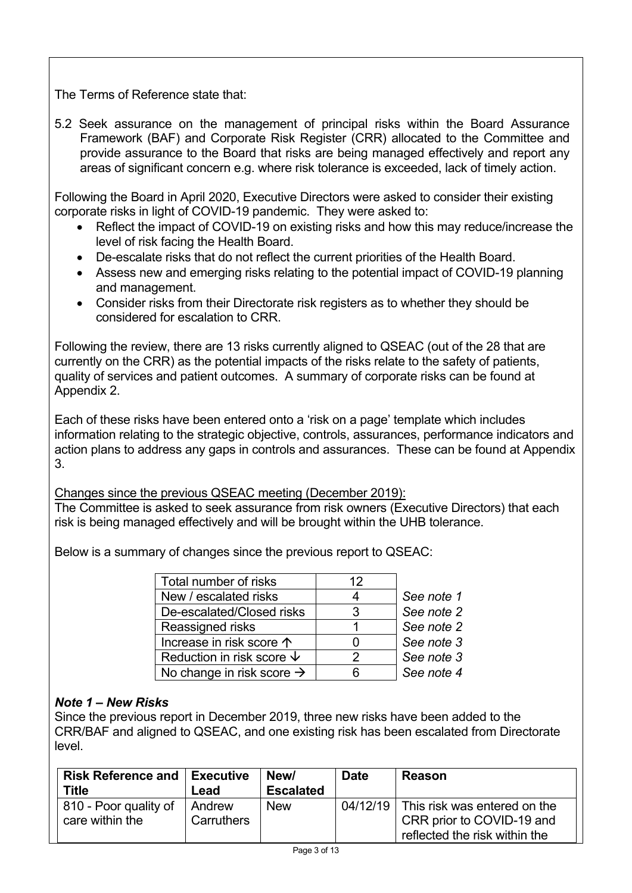The Terms of Reference state that:

5.2 Seek assurance on the management of principal risks within the Board Assurance Framework (BAF) and Corporate Risk Register (CRR) allocated to the Committee and provide assurance to the Board that risks are being managed effectively and report any areas of significant concern e.g. where risk tolerance is exceeded, lack of timely action.

Following the Board in April 2020, Executive Directors were asked to consider their existing corporate risks in light of COVID-19 pandemic. They were asked to:

- Reflect the impact of COVID-19 on existing risks and how this may reduce/increase the level of risk facing the Health Board.
- De-escalate risks that do not reflect the current priorities of the Health Board.
- Assess new and emerging risks relating to the potential impact of COVID-19 planning and management.
- Consider risks from their Directorate risk registers as to whether they should be considered for escalation to CRR.

Following the review, there are 13 risks currently aligned to QSEAC (out of the 28 that are currently on the CRR) as the potential impacts of the risks relate to the safety of patients, quality of services and patient outcomes. A summary of corporate risks can be found at Appendix 2.

Each of these risks have been entered onto a 'risk on a page' template which includes information relating to the strategic objective, controls, assurances, performance indicators and action plans to address any gaps in controls and assurances. These can be found at Appendix 3.

Changes since the previous QSEAC meeting (December 2019):

The Committee is asked to seek assurance from risk owners (Executive Directors) that each risk is being managed effectively and will be brought within the UHB tolerance.

Below is a summary of changes since the previous report to QSEAC:

| Total number of risks                 | 12 |            |
|---------------------------------------|----|------------|
| New / escalated risks                 |    | See note 1 |
| De-escalated/Closed risks             | З  | See note 2 |
| Reassigned risks                      |    | See note 2 |
| Increase in risk score $\uparrow$     |    | See note 3 |
| Reduction in risk score $\psi$        |    | See note 3 |
| No change in risk score $\rightarrow$ |    | See note 4 |

# *Note 1 – New Risks*

Since the previous report in December 2019, three new risks have been added to the CRR/BAF and aligned to QSEAC, and one existing risk has been escalated from Directorate level.

| <b>Risk Reference and Executive</b> |            | New/             | <b>Date</b> | Reason                        |
|-------------------------------------|------------|------------------|-------------|-------------------------------|
| Title                               | Lead       | <b>Escalated</b> |             |                               |
| 810 - Poor quality of               | Andrew     | <b>New</b>       | 04/12/19    | This risk was entered on the  |
| care within the                     | Carruthers |                  |             | CRR prior to COVID-19 and     |
|                                     |            |                  |             | reflected the risk within the |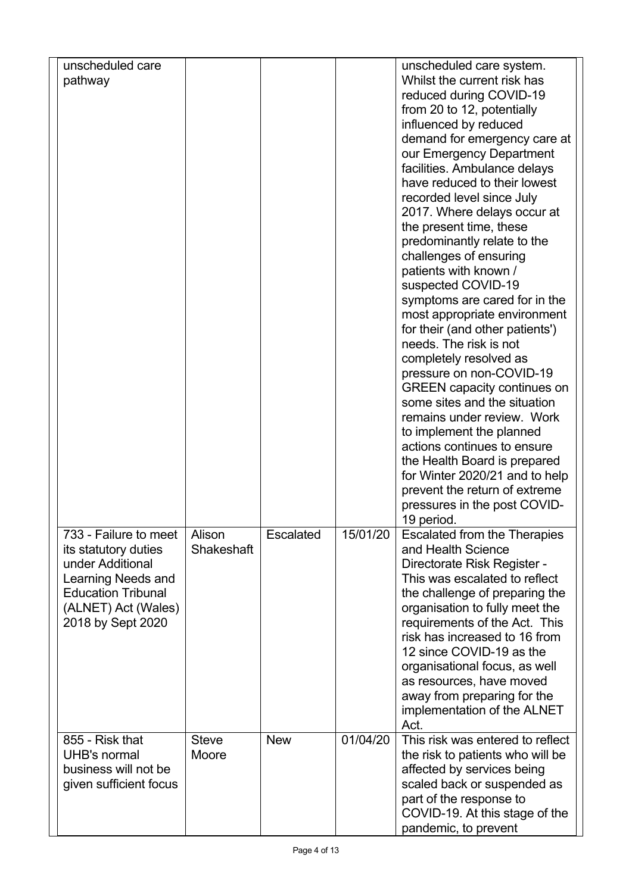| unscheduled care<br>pathway                      |                       |            |          | unscheduled care system.<br>Whilst the current risk has              |  |
|--------------------------------------------------|-----------------------|------------|----------|----------------------------------------------------------------------|--|
|                                                  |                       |            |          | reduced during COVID-19                                              |  |
|                                                  |                       |            |          | from 20 to 12, potentially                                           |  |
|                                                  |                       |            |          | influenced by reduced                                                |  |
|                                                  |                       |            |          | demand for emergency care at                                         |  |
|                                                  |                       |            |          | our Emergency Department                                             |  |
|                                                  |                       |            |          | facilities. Ambulance delays<br>have reduced to their lowest         |  |
|                                                  |                       |            |          | recorded level since July                                            |  |
|                                                  |                       |            |          | 2017. Where delays occur at                                          |  |
|                                                  |                       |            |          | the present time, these                                              |  |
|                                                  |                       |            |          | predominantly relate to the                                          |  |
|                                                  |                       |            |          | challenges of ensuring                                               |  |
|                                                  |                       |            |          | patients with known /                                                |  |
|                                                  |                       |            |          | suspected COVID-19                                                   |  |
|                                                  |                       |            |          | symptoms are cared for in the                                        |  |
|                                                  |                       |            |          | most appropriate environment                                         |  |
|                                                  |                       |            |          | for their (and other patients')<br>needs. The risk is not            |  |
|                                                  |                       |            |          | completely resolved as                                               |  |
|                                                  |                       |            |          | pressure on non-COVID-19                                             |  |
|                                                  |                       |            |          | <b>GREEN</b> capacity continues on                                   |  |
|                                                  |                       |            |          | some sites and the situation                                         |  |
|                                                  |                       |            |          | remains under review. Work                                           |  |
|                                                  |                       |            |          | to implement the planned                                             |  |
|                                                  |                       |            |          | actions continues to ensure                                          |  |
|                                                  |                       |            |          | the Health Board is prepared<br>for Winter 2020/21 and to help       |  |
|                                                  |                       |            |          | prevent the return of extreme                                        |  |
|                                                  |                       |            |          | pressures in the post COVID-                                         |  |
|                                                  |                       |            |          | 19 period.                                                           |  |
| 733 - Failure to meet                            | Alison                | Escalated  | 15/01/20 | Escalated from the Therapies                                         |  |
| its statutory duties                             | Shakeshaft            |            |          | and Health Science                                                   |  |
| under Additional                                 |                       |            |          | Directorate Risk Register -                                          |  |
| Learning Needs and                               |                       |            |          | This was escalated to reflect                                        |  |
| <b>Education Tribunal</b><br>(ALNET) Act (Wales) |                       |            |          | the challenge of preparing the                                       |  |
| 2018 by Sept 2020                                |                       |            |          | organisation to fully meet the<br>requirements of the Act. This      |  |
|                                                  |                       |            |          | risk has increased to 16 from                                        |  |
|                                                  |                       |            |          | 12 since COVID-19 as the                                             |  |
|                                                  |                       |            |          | organisational focus, as well                                        |  |
|                                                  |                       |            |          | as resources, have moved                                             |  |
|                                                  |                       |            |          | away from preparing for the                                          |  |
|                                                  |                       |            |          | implementation of the ALNET                                          |  |
|                                                  |                       |            |          | Act.                                                                 |  |
| 855 - Risk that<br>UHB's normal                  | <b>Steve</b><br>Moore | <b>New</b> | 01/04/20 | This risk was entered to reflect<br>the risk to patients who will be |  |
| business will not be                             |                       |            |          | affected by services being                                           |  |
| given sufficient focus                           |                       |            |          | scaled back or suspended as                                          |  |
|                                                  |                       |            |          | part of the response to                                              |  |
|                                                  |                       |            |          | COVID-19. At this stage of the                                       |  |
|                                                  |                       |            |          | pandemic, to prevent                                                 |  |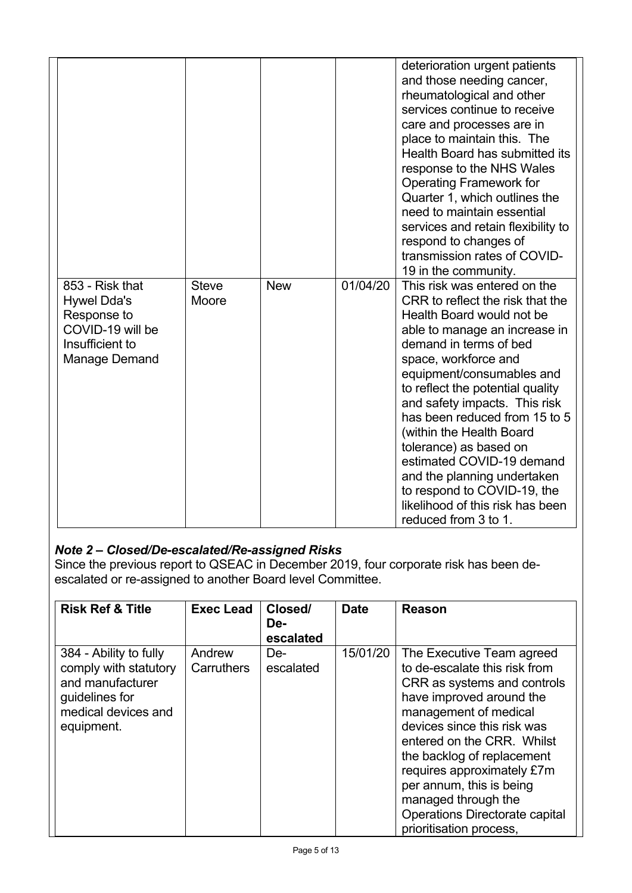|                                                                                                              |                       |            |          | deterioration urgent patients<br>and those needing cancer,<br>rheumatological and other<br>services continue to receive<br>care and processes are in<br>place to maintain this. The<br>Health Board has submitted its<br>response to the NHS Wales<br><b>Operating Framework for</b><br>Quarter 1, which outlines the<br>need to maintain essential<br>services and retain flexibility to<br>respond to changes of<br>transmission rates of COVID-<br>19 in the community.                                                       |
|--------------------------------------------------------------------------------------------------------------|-----------------------|------------|----------|----------------------------------------------------------------------------------------------------------------------------------------------------------------------------------------------------------------------------------------------------------------------------------------------------------------------------------------------------------------------------------------------------------------------------------------------------------------------------------------------------------------------------------|
| 853 - Risk that<br><b>Hywel Dda's</b><br>Response to<br>COVID-19 will be<br>Insufficient to<br>Manage Demand | <b>Steve</b><br>Moore | <b>New</b> | 01/04/20 | This risk was entered on the<br>CRR to reflect the risk that the<br>Health Board would not be<br>able to manage an increase in<br>demand in terms of bed<br>space, workforce and<br>equipment/consumables and<br>to reflect the potential quality<br>and safety impacts. This risk<br>has been reduced from 15 to 5<br>(within the Health Board<br>tolerance) as based on<br>estimated COVID-19 demand<br>and the planning undertaken<br>to respond to COVID-19, the<br>likelihood of this risk has been<br>reduced from 3 to 1. |

# *Note 2 – Closed/De-escalated/Re-assigned Risks*

Since the previous report to QSEAC in December 2019, four corporate risk has been deescalated or re-assigned to another Board level Committee.

| <b>Risk Ref &amp; Title</b>                                                                                                | <b>Exec Lead</b>     | Closed/<br>De-<br>escalated | <b>Date</b> | Reason                                                                                                                                                                                                                                                                                                                                                                                  |
|----------------------------------------------------------------------------------------------------------------------------|----------------------|-----------------------------|-------------|-----------------------------------------------------------------------------------------------------------------------------------------------------------------------------------------------------------------------------------------------------------------------------------------------------------------------------------------------------------------------------------------|
| 384 - Ability to fully<br>comply with statutory<br>and manufacturer<br>guidelines for<br>medical devices and<br>equipment. | Andrew<br>Carruthers | De-<br>escalated            | 15/01/20    | The Executive Team agreed<br>to de-escalate this risk from<br>CRR as systems and controls<br>have improved around the<br>management of medical<br>devices since this risk was<br>entered on the CRR. Whilst<br>the backlog of replacement<br>requires approximately £7m<br>per annum, this is being<br>managed through the<br>Operations Directorate capital<br>prioritisation process, |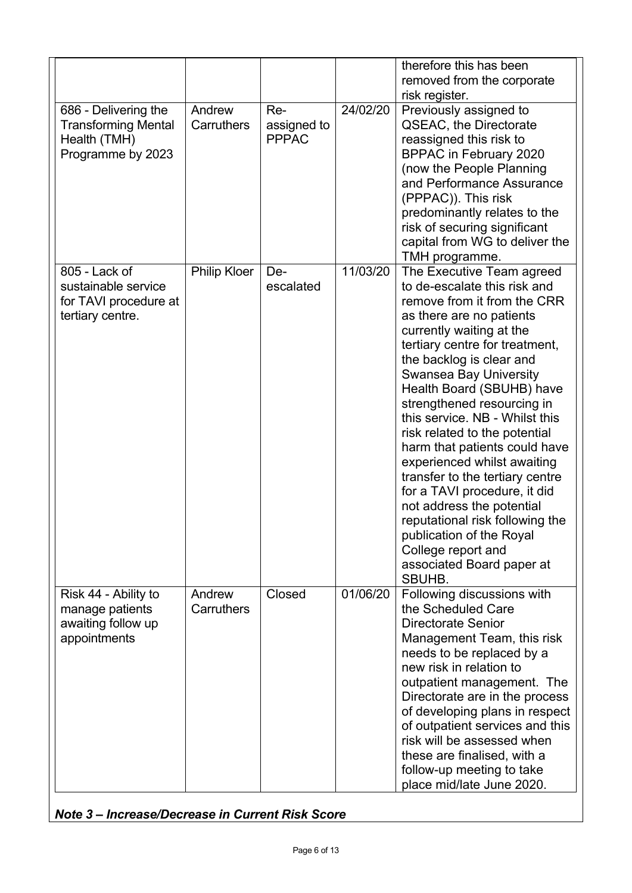|                                                                                         |                      |                                    |          | therefore this has been<br>removed from the corporate<br>risk register.                                                                                                                                                                                                                                                                                                                                                                                                                                                                                                                                                                                                   |
|-----------------------------------------------------------------------------------------|----------------------|------------------------------------|----------|---------------------------------------------------------------------------------------------------------------------------------------------------------------------------------------------------------------------------------------------------------------------------------------------------------------------------------------------------------------------------------------------------------------------------------------------------------------------------------------------------------------------------------------------------------------------------------------------------------------------------------------------------------------------------|
| 686 - Delivering the<br><b>Transforming Mental</b><br>Health (TMH)<br>Programme by 2023 | Andrew<br>Carruthers | Re-<br>assigned to<br><b>PPPAC</b> | 24/02/20 | Previously assigned to<br><b>QSEAC, the Directorate</b><br>reassigned this risk to<br><b>BPPAC in February 2020</b><br>(now the People Planning<br>and Performance Assurance<br>(PPPAC)). This risk<br>predominantly relates to the<br>risk of securing significant<br>capital from WG to deliver the<br>TMH programme.                                                                                                                                                                                                                                                                                                                                                   |
| 805 - Lack of<br>sustainable service<br>for TAVI procedure at<br>tertiary centre.       | <b>Philip Kloer</b>  | De-<br>escalated                   | 11/03/20 | The Executive Team agreed<br>to de-escalate this risk and<br>remove from it from the CRR<br>as there are no patients<br>currently waiting at the<br>tertiary centre for treatment,<br>the backlog is clear and<br><b>Swansea Bay University</b><br>Health Board (SBUHB) have<br>strengthened resourcing in<br>this service. NB - Whilst this<br>risk related to the potential<br>harm that patients could have<br>experienced whilst awaiting<br>transfer to the tertiary centre<br>for a TAVI procedure, it did<br>not address the potential<br>reputational risk following the<br>publication of the Royal<br>College report and<br>associated Board paper at<br>SBUHB. |
| Risk 44 - Ability to<br>manage patients<br>awaiting follow up<br>appointments           | Andrew<br>Carruthers | Closed                             | 01/06/20 | Following discussions with<br>the Scheduled Care<br><b>Directorate Senior</b><br>Management Team, this risk<br>needs to be replaced by a<br>new risk in relation to<br>outpatient management. The<br>Directorate are in the process<br>of developing plans in respect<br>of outpatient services and this<br>risk will be assessed when<br>these are finalised, with a<br>follow-up meeting to take<br>place mid/late June 2020.                                                                                                                                                                                                                                           |

*Note 3 – Increase/Decrease in Current Risk Score*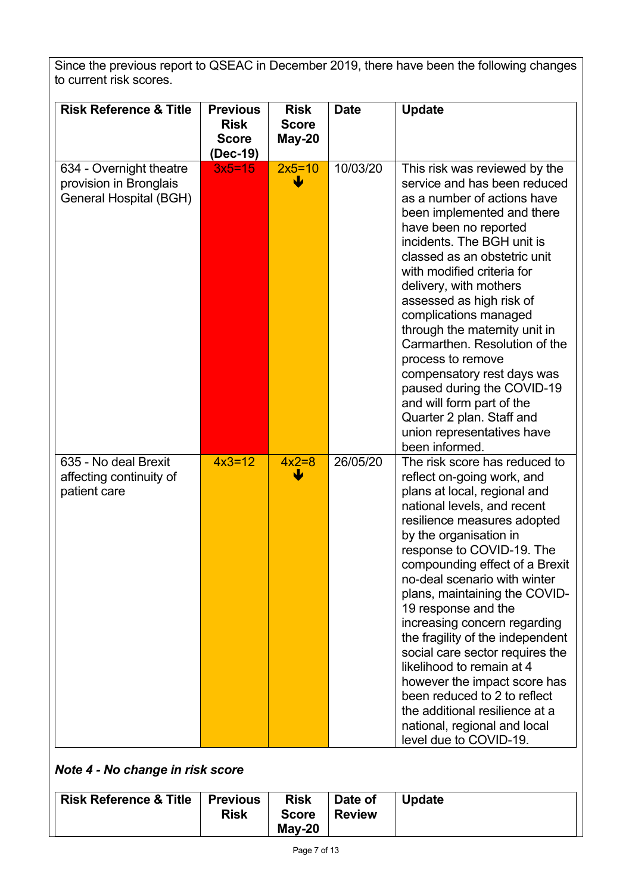Since the previous report to QSEAC in December 2019, there have been the following changes to current risk scores.

| <b>Risk Reference &amp; Title</b>                                           | <b>Previous</b><br><b>Risk</b><br><b>Score</b><br>(Dec-19) | <b>Risk</b><br><b>Score</b><br>May-20 | <b>Date</b> | <b>Update</b>                                                                                                                                                                                                                                                                                                                                                                                                                                                                                                                                                                                                                              |
|-----------------------------------------------------------------------------|------------------------------------------------------------|---------------------------------------|-------------|--------------------------------------------------------------------------------------------------------------------------------------------------------------------------------------------------------------------------------------------------------------------------------------------------------------------------------------------------------------------------------------------------------------------------------------------------------------------------------------------------------------------------------------------------------------------------------------------------------------------------------------------|
| 634 - Overnight theatre<br>provision in Bronglais<br>General Hospital (BGH) | $3x5 = 15$                                                 | $2x5=10$<br>W                         | 10/03/20    | This risk was reviewed by the<br>service and has been reduced<br>as a number of actions have<br>been implemented and there<br>have been no reported<br>incidents. The BGH unit is<br>classed as an obstetric unit<br>with modified criteria for<br>delivery, with mothers<br>assessed as high risk of<br>complications managed<br>through the maternity unit in<br>Carmarthen, Resolution of the<br>process to remove<br>compensatory rest days was<br>paused during the COVID-19<br>and will form part of the<br>Quarter 2 plan. Staff and<br>union representatives have<br>been informed.                                                |
| 635 - No deal Brexit<br>affecting continuity of<br>patient care             | $4x3=12$                                                   | $4x2=8$                               | 26/05/20    | The risk score has reduced to<br>reflect on-going work, and<br>plans at local, regional and<br>national levels, and recent<br>resilience measures adopted<br>by the organisation in<br>response to COVID-19. The<br>compounding effect of a Brexit<br>no-deal scenario with winter<br>plans, maintaining the COVID-<br>19 response and the<br>increasing concern regarding<br>the fragility of the independent<br>social care sector requires the<br>likelihood to remain at 4<br>however the impact score has<br>been reduced to 2 to reflect<br>the additional resilience at a<br>national, regional and local<br>level due to COVID-19. |

*Note 4 - No change in risk score*

| Risk Reference & Title | <b>Previous</b><br><b>Risk</b> | <b>Risk</b><br><b>Score</b> | Date of<br><b>Review</b> | <b>Update</b> |
|------------------------|--------------------------------|-----------------------------|--------------------------|---------------|
|                        |                                | $Mav-20$                    |                          |               |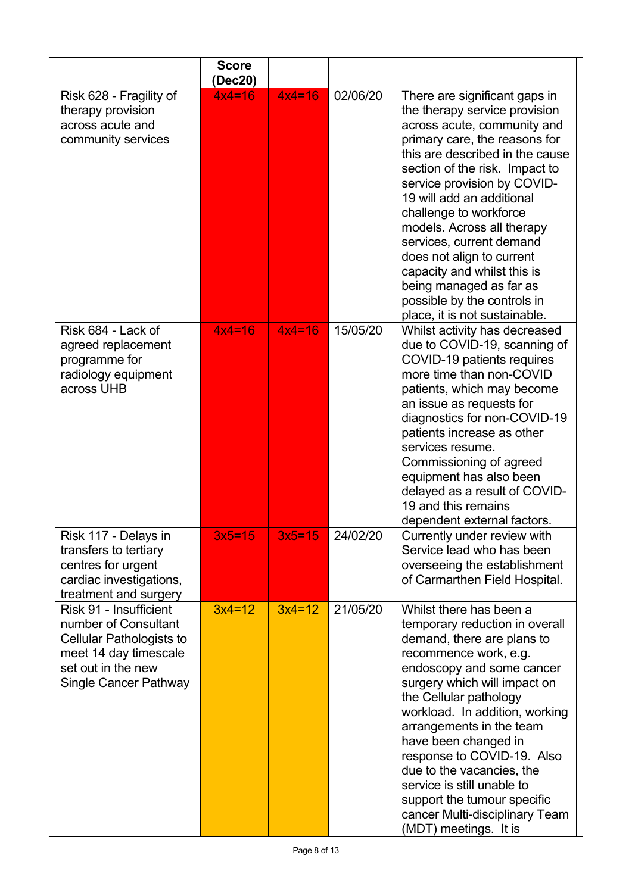|                                                                                                                                                           | <b>Score</b><br>(Dec20) |          |          |                                                                                                                                                                                                                                                                                                                                                                                                                                                                                                            |
|-----------------------------------------------------------------------------------------------------------------------------------------------------------|-------------------------|----------|----------|------------------------------------------------------------------------------------------------------------------------------------------------------------------------------------------------------------------------------------------------------------------------------------------------------------------------------------------------------------------------------------------------------------------------------------------------------------------------------------------------------------|
| Risk 628 - Fragility of<br>therapy provision<br>across acute and<br>community services                                                                    | $4x4=16$                | $4x4=16$ | 02/06/20 | There are significant gaps in<br>the therapy service provision<br>across acute, community and<br>primary care, the reasons for<br>this are described in the cause<br>section of the risk. Impact to<br>service provision by COVID-<br>19 will add an additional<br>challenge to workforce<br>models. Across all therapy<br>services, current demand<br>does not align to current<br>capacity and whilst this is<br>being managed as far as<br>possible by the controls in<br>place, it is not sustainable. |
| Risk 684 - Lack of<br>agreed replacement<br>programme for<br>radiology equipment<br>across UHB                                                            | $4x4=16$                | $4x4=16$ | 15/05/20 | Whilst activity has decreased<br>due to COVID-19, scanning of<br>COVID-19 patients requires<br>more time than non-COVID<br>patients, which may become<br>an issue as requests for<br>diagnostics for non-COVID-19<br>patients increase as other<br>services resume.<br>Commissioning of agreed<br>equipment has also been<br>delayed as a result of COVID-<br>19 and this remains<br>dependent external factors.                                                                                           |
| Risk 117 - Delays in<br>transfers to tertiary<br>centres for urgent<br>cardiac investigations,<br>treatment and surgery                                   | 3x5=15                  | $3x5=15$ | 24/02/20 | Currently under review with<br>Service lead who has been<br>overseeing the establishment<br>of Carmarthen Field Hospital.                                                                                                                                                                                                                                                                                                                                                                                  |
| Risk 91 - Insufficient<br>number of Consultant<br><b>Cellular Pathologists to</b><br>meet 14 day timescale<br>set out in the new<br>Single Cancer Pathway | $3x4=12$                | $3x4=12$ | 21/05/20 | Whilst there has been a<br>temporary reduction in overall<br>demand, there are plans to<br>recommence work, e.g.<br>endoscopy and some cancer<br>surgery which will impact on<br>the Cellular pathology<br>workload. In addition, working<br>arrangements in the team<br>have been changed in<br>response to COVID-19. Also<br>due to the vacancies, the<br>service is still unable to<br>support the tumour specific<br>cancer Multi-disciplinary Team<br>(MDT) meetings. It is                           |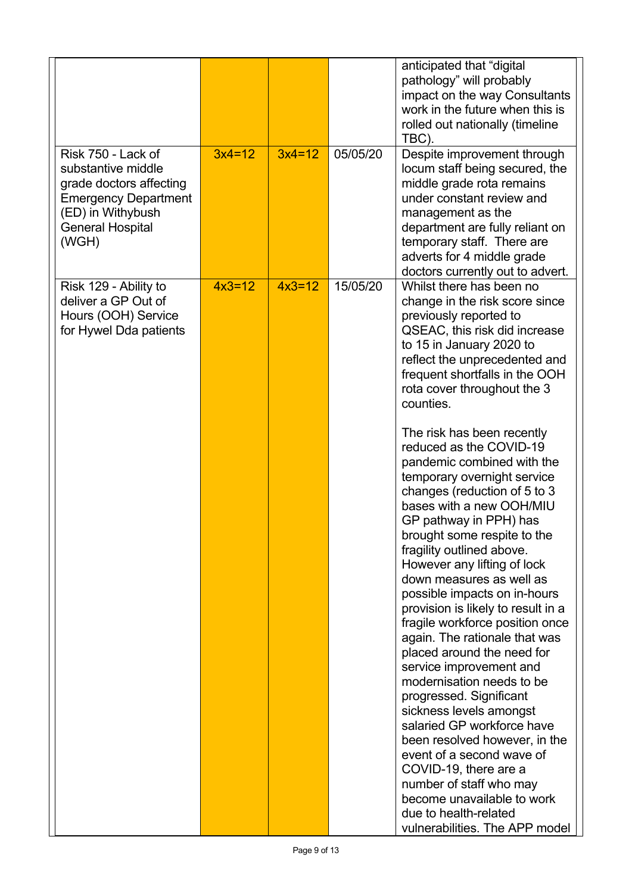|                                                                                                                                                             |          |          |          | anticipated that "digital<br>pathology" will probably<br>impact on the way Consultants<br>work in the future when this is<br>rolled out nationally (timeline<br>TBC).                                                                                                                                                                                                                                                                                                                                                                                                                                                                                                                                                                                                                                                                                          |
|-------------------------------------------------------------------------------------------------------------------------------------------------------------|----------|----------|----------|----------------------------------------------------------------------------------------------------------------------------------------------------------------------------------------------------------------------------------------------------------------------------------------------------------------------------------------------------------------------------------------------------------------------------------------------------------------------------------------------------------------------------------------------------------------------------------------------------------------------------------------------------------------------------------------------------------------------------------------------------------------------------------------------------------------------------------------------------------------|
| Risk 750 - Lack of<br>substantive middle<br>grade doctors affecting<br><b>Emergency Department</b><br>(ED) in Withybush<br><b>General Hospital</b><br>(WGH) | $3x4=12$ | $3x4=12$ | 05/05/20 | Despite improvement through<br>locum staff being secured, the<br>middle grade rota remains<br>under constant review and<br>management as the<br>department are fully reliant on<br>temporary staff. There are<br>adverts for 4 middle grade<br>doctors currently out to advert.                                                                                                                                                                                                                                                                                                                                                                                                                                                                                                                                                                                |
| Risk 129 - Ability to<br>deliver a GP Out of<br>Hours (OOH) Service<br>for Hywel Dda patients                                                               | $4x3=12$ | $4x3=12$ | 15/05/20 | Whilst there has been no<br>change in the risk score since<br>previously reported to<br>QSEAC, this risk did increase<br>to 15 in January 2020 to<br>reflect the unprecedented and<br>frequent shortfalls in the OOH<br>rota cover throughout the 3<br>counties.                                                                                                                                                                                                                                                                                                                                                                                                                                                                                                                                                                                               |
|                                                                                                                                                             |          |          |          | The risk has been recently<br>reduced as the COVID-19<br>pandemic combined with the<br>temporary overnight service<br>changes (reduction of 5 to 3<br>bases with a new OOH/MIU<br>GP pathway in PPH) has<br>brought some respite to the<br>fragility outlined above.<br>However any lifting of lock<br>down measures as well as<br>possible impacts on in-hours<br>provision is likely to result in a<br>fragile workforce position once<br>again. The rationale that was<br>placed around the need for<br>service improvement and<br>modernisation needs to be<br>progressed. Significant<br>sickness levels amongst<br>salaried GP workforce have<br>been resolved however, in the<br>event of a second wave of<br>COVID-19, there are a<br>number of staff who may<br>become unavailable to work<br>due to health-related<br>vulnerabilities. The APP model |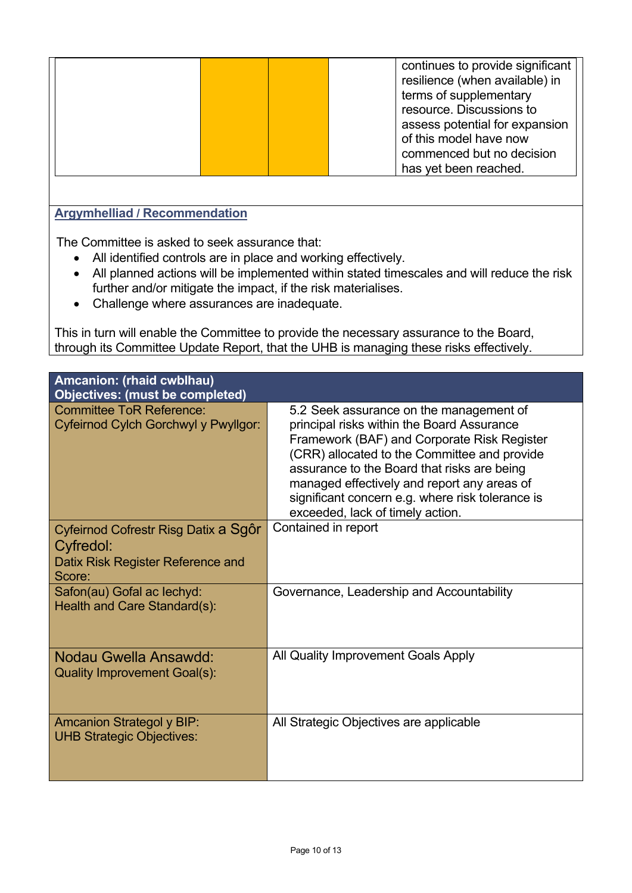|  |  |  | continues to provide significant<br>resilience (when available) in<br>terms of supplementary<br>resource. Discussions to<br>assess potential for expansion<br>of this model have now<br>commenced but no decision<br>has yet been reached. |
|--|--|--|--------------------------------------------------------------------------------------------------------------------------------------------------------------------------------------------------------------------------------------------|
|--|--|--|--------------------------------------------------------------------------------------------------------------------------------------------------------------------------------------------------------------------------------------------|

#### **Argymhelliad / Recommendation**

The Committee is asked to seek assurance that:

- All identified controls are in place and working effectively.
- All planned actions will be implemented within stated timescales and will reduce the risk further and/or mitigate the impact, if the risk materialises.
- Challenge where assurances are inadequate.

This in turn will enable the Committee to provide the necessary assurance to the Board, through its Committee Update Report, that the UHB is managing these risks effectively.

| <b>Amcanion: (rhaid cwblhau)</b><br><b>Objectives: (must be completed)</b>                       |                                                                                                                                                                                                                                                                                                                                                                            |
|--------------------------------------------------------------------------------------------------|----------------------------------------------------------------------------------------------------------------------------------------------------------------------------------------------------------------------------------------------------------------------------------------------------------------------------------------------------------------------------|
| <b>Committee ToR Reference:</b><br>Cyfeirnod Cylch Gorchwyl y Pwyllgor:                          | 5.2 Seek assurance on the management of<br>principal risks within the Board Assurance<br>Framework (BAF) and Corporate Risk Register<br>(CRR) allocated to the Committee and provide<br>assurance to the Board that risks are being<br>managed effectively and report any areas of<br>significant concern e.g. where risk tolerance is<br>exceeded, lack of timely action. |
| Cyfeirnod Cofrestr Risg Datix a Sgôr<br>Cyfredol:<br>Datix Risk Register Reference and<br>Score: | Contained in report                                                                                                                                                                                                                                                                                                                                                        |
| Safon(au) Gofal ac lechyd:<br>Health and Care Standard(s):                                       | Governance, Leadership and Accountability                                                                                                                                                                                                                                                                                                                                  |
| Nodau Gwella Ansawdd:<br><b>Quality Improvement Goal(s):</b>                                     | All Quality Improvement Goals Apply                                                                                                                                                                                                                                                                                                                                        |
| <b>Amcanion Strategol y BIP:</b><br><b>UHB Strategic Objectives:</b>                             | All Strategic Objectives are applicable                                                                                                                                                                                                                                                                                                                                    |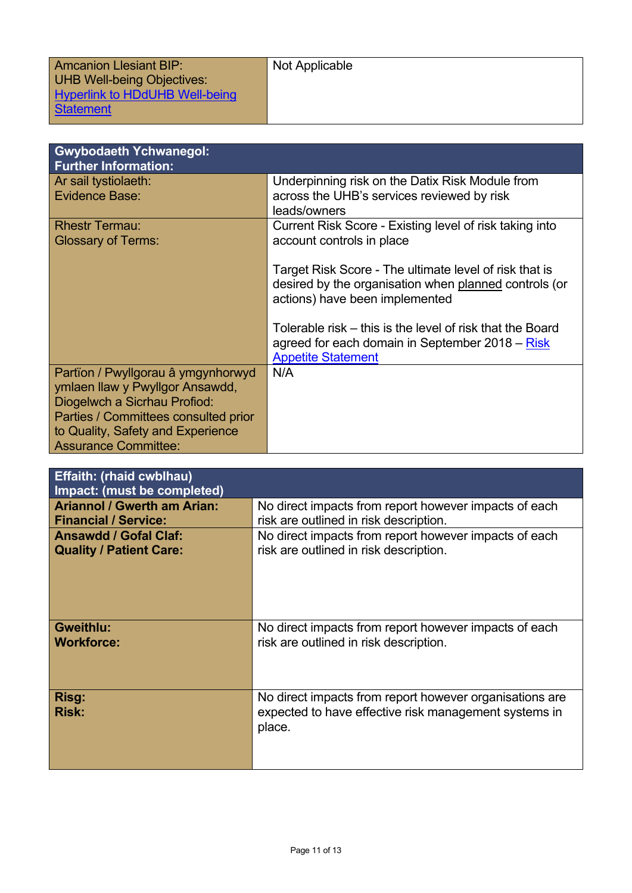| <b>Amcanion Llesiant BIP:</b><br><b>UHB Well-being Objectives:</b> | Not Applicable |
|--------------------------------------------------------------------|----------------|
| <b>Hyperlink to HDdUHB Well-being</b><br><b>Statement</b>          |                |

| <b>Gwybodaeth Ychwanegol:</b><br><b>Further Information:</b>     |                                                            |
|------------------------------------------------------------------|------------------------------------------------------------|
| Ar sail tystiolaeth:                                             | Underpinning risk on the Datix Risk Module from            |
| <b>Evidence Base:</b>                                            | across the UHB's services reviewed by risk<br>leads/owners |
| <b>Rhestr Termau:</b>                                            | Current Risk Score - Existing level of risk taking into    |
| <b>Glossary of Terms:</b>                                        | account controls in place                                  |
|                                                                  | Target Risk Score - The ultimate level of risk that is     |
|                                                                  | desired by the organisation when planned controls (or      |
|                                                                  | actions) have been implemented                             |
|                                                                  | Tolerable risk – this is the level of risk that the Board  |
|                                                                  | agreed for each domain in September 2018 – Risk            |
|                                                                  | <b>Appetite Statement</b>                                  |
| Partïon / Pwyllgorau â ymgynhorwyd                               | N/A                                                        |
| ymlaen llaw y Pwyllgor Ansawdd,                                  |                                                            |
| Diogelwch a Sicrhau Profiod:                                     |                                                            |
| Parties / Committees consulted prior                             |                                                            |
| to Quality, Safety and Experience<br><b>Assurance Committee:</b> |                                                            |
|                                                                  |                                                            |

| <b>Effaith: (rhaid cwblhau)</b><br>Impact: (must be completed) |                                                                                                                            |
|----------------------------------------------------------------|----------------------------------------------------------------------------------------------------------------------------|
| <b>Ariannol / Gwerth am Arian:</b>                             | No direct impacts from report however impacts of each                                                                      |
| <b>Financial / Service:</b>                                    | risk are outlined in risk description.                                                                                     |
| <b>Ansawdd / Gofal Claf:</b>                                   | No direct impacts from report however impacts of each                                                                      |
| <b>Quality / Patient Care:</b>                                 | risk are outlined in risk description.                                                                                     |
| <b>Gweithlu:</b>                                               | No direct impacts from report however impacts of each                                                                      |
| <b>Workforce:</b>                                              | risk are outlined in risk description.                                                                                     |
| Risg:<br><b>Risk:</b>                                          | No direct impacts from report however organisations are<br>expected to have effective risk management systems in<br>place. |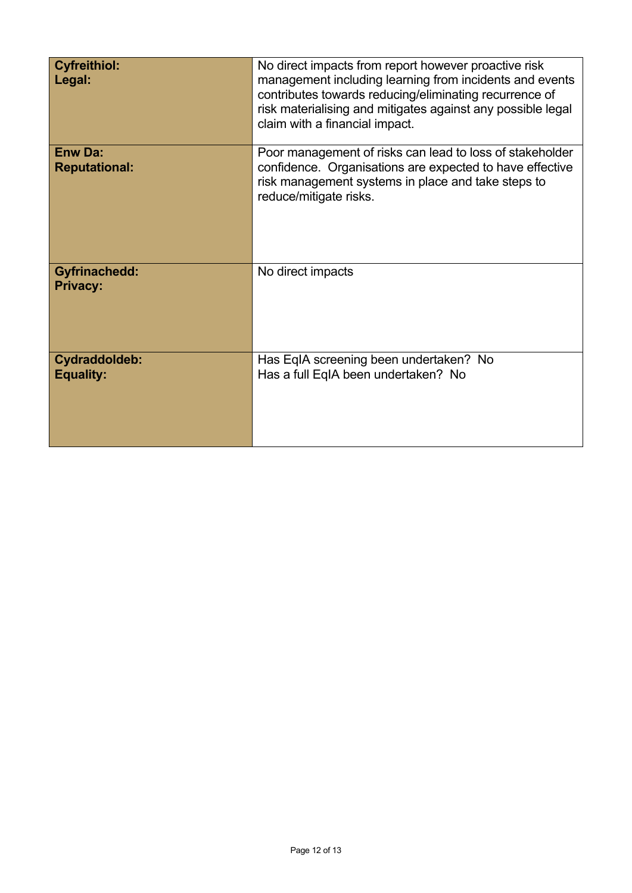| <b>Cyfreithiol:</b><br>Legal:           | No direct impacts from report however proactive risk<br>management including learning from incidents and events<br>contributes towards reducing/eliminating recurrence of<br>risk materialising and mitigates against any possible legal<br>claim with a financial impact. |
|-----------------------------------------|----------------------------------------------------------------------------------------------------------------------------------------------------------------------------------------------------------------------------------------------------------------------------|
| <b>Enw Da:</b><br><b>Reputational:</b>  | Poor management of risks can lead to loss of stakeholder<br>confidence. Organisations are expected to have effective<br>risk management systems in place and take steps to<br>reduce/mitigate risks.                                                                       |
| <b>Gyfrinachedd:</b><br><b>Privacy:</b> | No direct impacts                                                                                                                                                                                                                                                          |
| Cydraddoldeb:<br><b>Equality:</b>       | Has EqIA screening been undertaken? No<br>Has a full EqIA been undertaken? No                                                                                                                                                                                              |